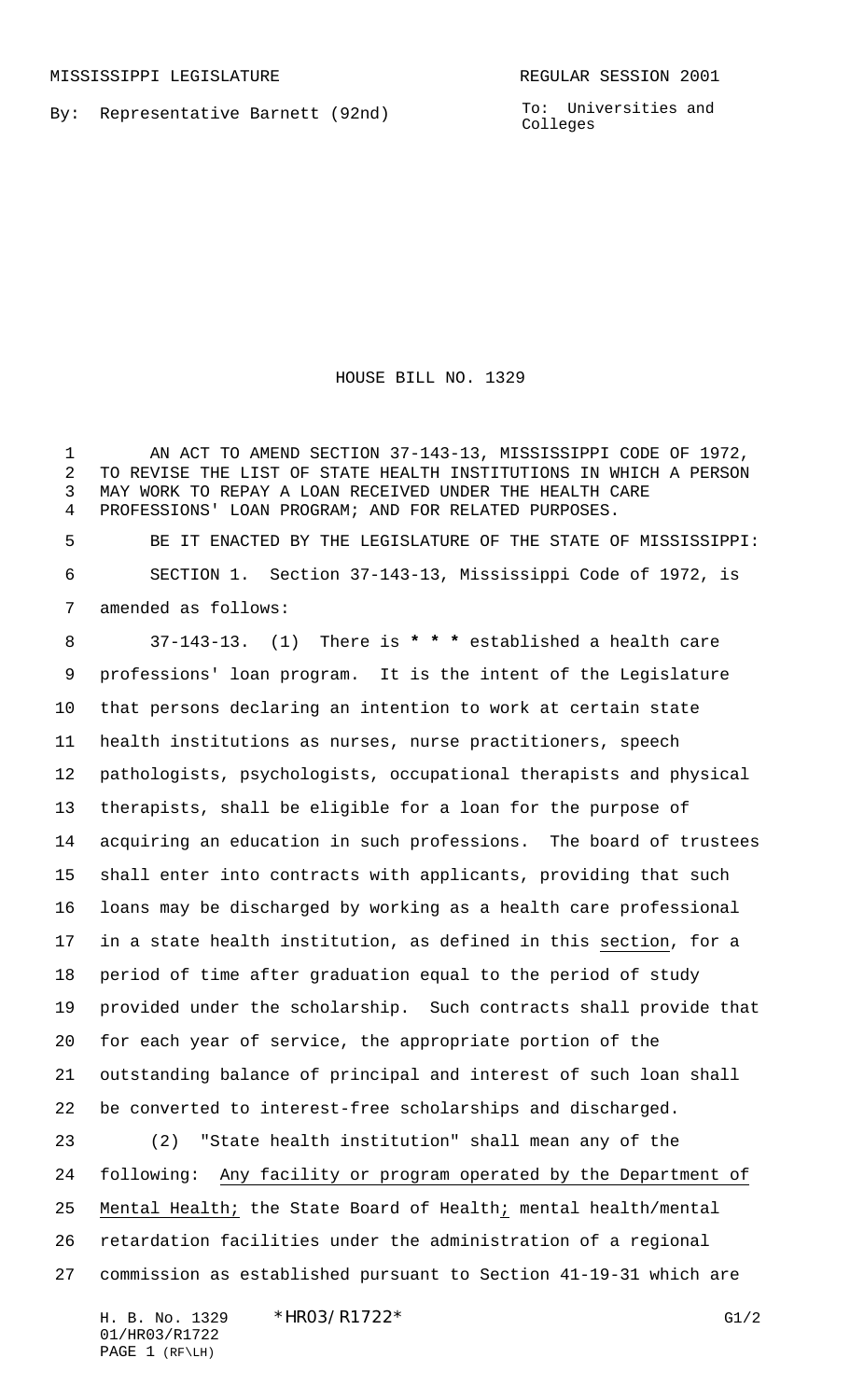By: Representative Barnett (92nd)

To: Universities and Colleges

HOUSE BILL NO. 1329

 AN ACT TO AMEND SECTION 37-143-13, MISSISSIPPI CODE OF 1972, TO REVISE THE LIST OF STATE HEALTH INSTITUTIONS IN WHICH A PERSON MAY WORK TO REPAY A LOAN RECEIVED UNDER THE HEALTH CARE PROFESSIONS' LOAN PROGRAM; AND FOR RELATED PURPOSES.

 BE IT ENACTED BY THE LEGISLATURE OF THE STATE OF MISSISSIPPI: SECTION 1. Section 37-143-13, Mississippi Code of 1972, is amended as follows:

 37-143-13. (1) There is **\* \* \*** established a health care professions' loan program. It is the intent of the Legislature that persons declaring an intention to work at certain state health institutions as nurses, nurse practitioners, speech pathologists, psychologists, occupational therapists and physical therapists, shall be eligible for a loan for the purpose of acquiring an education in such professions. The board of trustees shall enter into contracts with applicants, providing that such loans may be discharged by working as a health care professional in a state health institution, as defined in this section, for a period of time after graduation equal to the period of study provided under the scholarship. Such contracts shall provide that for each year of service, the appropriate portion of the outstanding balance of principal and interest of such loan shall be converted to interest-free scholarships and discharged. (2) "State health institution" shall mean any of the following: Any facility or program operated by the Department of Mental Health; the State Board of Health; mental health/mental retardation facilities under the administration of a regional commission as established pursuant to Section 41-19-31 which are

H. B. No. 1329 \* HRO3/R1722 \* G1/2 01/HR03/R1722 PAGE 1 (RF\LH)